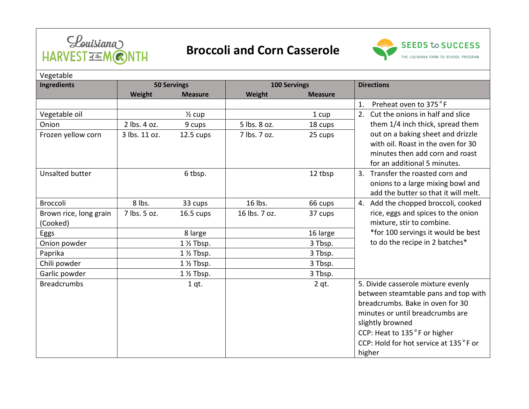

## **Broccoli and Corn Casserole**



| Vegetable              |                    |                      |                     |                |                                       |  |  |  |  |
|------------------------|--------------------|----------------------|---------------------|----------------|---------------------------------------|--|--|--|--|
| <b>Ingredients</b>     | <b>50 Servings</b> |                      | <b>100 Servings</b> |                | <b>Directions</b>                     |  |  |  |  |
|                        | Weight             | <b>Measure</b>       | Weight              | <b>Measure</b> |                                       |  |  |  |  |
|                        |                    |                      |                     |                | Preheat oven to 375°F<br>1.           |  |  |  |  |
| Vegetable oil          |                    | $\frac{1}{2}$ cup    |                     | 1 cup          | 2. Cut the onions in half and slice   |  |  |  |  |
| Onion                  | 2 lbs. 4 oz.       | 9 cups               | 5 lbs. 8 oz.        | 18 cups        | them 1/4 inch thick, spread them      |  |  |  |  |
| Frozen yellow corn     | 3 lbs. 11 oz.      | 12.5 cups            | 7 lbs. 7 oz.        | 25 cups        | out on a baking sheet and drizzle     |  |  |  |  |
|                        |                    |                      |                     |                | with oil. Roast in the oven for 30    |  |  |  |  |
|                        |                    |                      |                     |                | minutes then add corn and roast       |  |  |  |  |
|                        |                    |                      |                     |                | for an additional 5 minutes.          |  |  |  |  |
| <b>Unsalted butter</b> |                    | 6 tbsp.              |                     | 12 tbsp        | 3. Transfer the roasted corn and      |  |  |  |  |
|                        |                    |                      |                     |                | onions to a large mixing bowl and     |  |  |  |  |
|                        |                    |                      |                     |                | add the butter so that it will melt.  |  |  |  |  |
| <b>Broccoli</b>        | 8 lbs.             | 33 cups              | 16 lbs.             | 66 cups        | 4. Add the chopped broccoli, cooked   |  |  |  |  |
| Brown rice, long grain | 7 lbs. 5 oz.       | 16.5 cups            | 16 lbs. 7 oz.       | 37 cups        | rice, eggs and spices to the onion    |  |  |  |  |
| (Cooked)               |                    |                      |                     |                | mixture, stir to combine.             |  |  |  |  |
| <b>Eggs</b>            |                    | 8 large              |                     | 16 large       | *for 100 servings it would be best    |  |  |  |  |
| Onion powder           |                    | 1 1/2 Tbsp.          |                     | 3 Tbsp.        | to do the recipe in 2 batches*        |  |  |  |  |
| Paprika                |                    | $1\frac{1}{2}$ Tbsp. |                     | 3 Tbsp.        |                                       |  |  |  |  |
| Chili powder           |                    | $1\frac{1}{2}$ Tbsp. |                     | 3 Tbsp.        |                                       |  |  |  |  |
| Garlic powder          |                    | $1\frac{1}{2}$ Tbsp. |                     | 3 Tbsp.        |                                       |  |  |  |  |
| <b>Breadcrumbs</b>     |                    | 1 qt.                |                     | $2$ qt.        | 5. Divide casserole mixture evenly    |  |  |  |  |
|                        |                    |                      |                     |                | between steamtable pans and top with  |  |  |  |  |
|                        |                    |                      |                     |                | breadcrumbs. Bake in oven for 30      |  |  |  |  |
|                        |                    |                      |                     |                | minutes or until breadcrumbs are      |  |  |  |  |
|                        |                    |                      |                     |                | slightly browned                      |  |  |  |  |
|                        |                    |                      |                     |                | CCP: Heat to 135°F or higher          |  |  |  |  |
|                        |                    |                      |                     |                | CCP: Hold for hot service at 135°F or |  |  |  |  |
|                        |                    |                      |                     |                | higher                                |  |  |  |  |